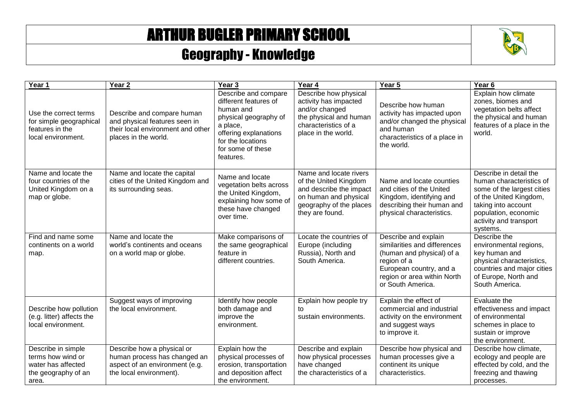## ARTHUR BUGLER PRIMARY SCHOOL

## Geography - Knowledge



| Year 1                                                                                        | Year <sub>2</sub>                                                                                                        | Year <sub>3</sub>                                                                                                                                                               | Year 4                                                                                                                                            | Year 5                                                                                                                                                                          | Year <sub>6</sub>                                                                                                                                                                               |
|-----------------------------------------------------------------------------------------------|--------------------------------------------------------------------------------------------------------------------------|---------------------------------------------------------------------------------------------------------------------------------------------------------------------------------|---------------------------------------------------------------------------------------------------------------------------------------------------|---------------------------------------------------------------------------------------------------------------------------------------------------------------------------------|-------------------------------------------------------------------------------------------------------------------------------------------------------------------------------------------------|
| Use the correct terms<br>for simple geographical<br>features in the<br>local environment.     | Describe and compare human<br>and physical features seen in<br>their local environment and other<br>places in the world. | Describe and compare<br>different features of<br>human and<br>physical geography of<br>a place,<br>offering explanations<br>for the locations<br>for some of these<br>features. | Describe how physical<br>activity has impacted<br>and/or changed<br>the physical and human<br>characteristics of a<br>place in the world.         | Describe how human<br>activity has impacted upon<br>and/or changed the physical<br>and human<br>characteristics of a place in<br>the world.                                     | Explain how climate<br>zones, biomes and<br>vegetation belts affect<br>the physical and human<br>features of a place in the<br>world.                                                           |
| Name and locate the<br>four countries of the<br>United Kingdom on a<br>map or globe.          | Name and locate the capital<br>cities of the United Kingdom and<br>its surrounding seas.                                 | Name and locate<br>vegetation belts across<br>the United Kingdom,<br>explaining how some of<br>these have changed<br>over time.                                                 | Name and locate rivers<br>of the United Kingdom<br>and describe the impact<br>on human and physical<br>geography of the places<br>they are found. | Name and locate counties<br>and cities of the United<br>Kingdom, identifying and<br>describing their human and<br>physical characteristics.                                     | Describe in detail the<br>human characteristics of<br>some of the largest cities<br>of the United Kingdom,<br>taking into account<br>population, economic<br>activity and transport<br>systems. |
| Find and name some<br>continents on a world<br>map.                                           | Name and locate the<br>world's continents and oceans<br>on a world map or globe.                                         | Make comparisons of<br>the same geographical<br>feature in<br>different countries.                                                                                              | Locate the countries of<br>Europe (including<br>Russia), North and<br>South America.                                                              | Describe and explain<br>similarities and differences<br>(human and physical) of a<br>region of a<br>European country, and a<br>region or area within North<br>or South America. | Describe the<br>environmental regions,<br>key human and<br>physical characteristics,<br>countries and major cities<br>of Europe, North and<br>South America.                                    |
| Describe how pollution<br>(e.g. litter) affects the<br>local environment.                     | Suggest ways of improving<br>the local environment.                                                                      | Identify how people<br>both damage and<br>improve the<br>environment.                                                                                                           | Explain how people try<br>to<br>sustain environments.                                                                                             | Explain the effect of<br>commercial and industrial<br>activity on the environment<br>and suggest ways<br>to improve it.                                                         | Evaluate the<br>effectiveness and impact<br>of environmental<br>schemes in place to<br>sustain or improve<br>the environment.                                                                   |
| Describe in simple<br>terms how wind or<br>water has affected<br>the geography of an<br>area. | Describe how a physical or<br>human process has changed an<br>aspect of an environment (e.g.<br>the local environment).  | Explain how the<br>physical processes of<br>erosion, transportation<br>and deposition affect<br>the environment.                                                                | Describe and explain<br>how physical processes<br>have changed<br>the characteristics of a                                                        | Describe how physical and<br>human processes give a<br>continent its unique<br>characteristics.                                                                                 | Describe how climate,<br>ecology and people are<br>effected by cold, and the<br>freezing and thawing<br>processes.                                                                              |